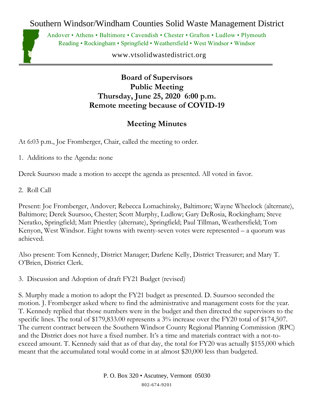Southern Windsor/Windham Counties Solid Waste Management District



Andover • Athens • Baltimore • Cavendish • Chester • Grafton • Ludlow • Plymouth Reading • Rockingham • Springfield • Weathersfield • West Windsor • Windsor

www.vtsolidwastedistrict.org

## **Board of Supervisors Public Meeting Thursday, June 25, 2020 6:00 p.m. Remote meeting because of COVID-19**

## **Meeting Minutes**

At 6:03 p.m., Joe Fromberger, Chair, called the meeting to order.

1. Additions to the Agenda: none

Derek Suursoo made a motion to accept the agenda as presented. All voted in favor.

2. Roll Call

Present: Joe Fromberger, Andover; Rebecca Lomachinsky, Baltimore; Wayne Wheelock (alternate), Baltimore; Derek Suursoo, Chester; Scott Murphy, Ludlow; Gary DeRosia, Rockingham; Steve Neratko, Springfield; Matt Priestley (alternate), Springfield; Paul Tillman, Weathersfield; Tom Kenyon, West Windsor. Eight towns with twenty-seven votes were represented – a quorum was achieved.

Also present: Tom Kennedy, District Manager; Darlene Kelly, District Treasurer; and Mary T. O'Brien, District Clerk.

3. Discussion and Adoption of draft FY21 Budget (revised)

S. Murphy made a motion to adopt the FY21 budget as presented. D. Suursoo seconded the motion. J. Fromberger asked where to find the administrative and management costs for the year. T. Kennedy replied that those numbers were in the budget and then directed the supervisors to the specific lines. The total of \$179,833.00 represents a 3% increase over the FY20 total of \$174,507. The current contract between the Southern Windsor County Regional Planning Commission (RPC) and the District does not have a fixed number. It's a time and materials contract with a not-toexceed amount. T. Kennedy said that as of that day, the total for FY20 was actually \$155,000 which meant that the accumulated total would come in at almost \$20,000 less than budgeted.